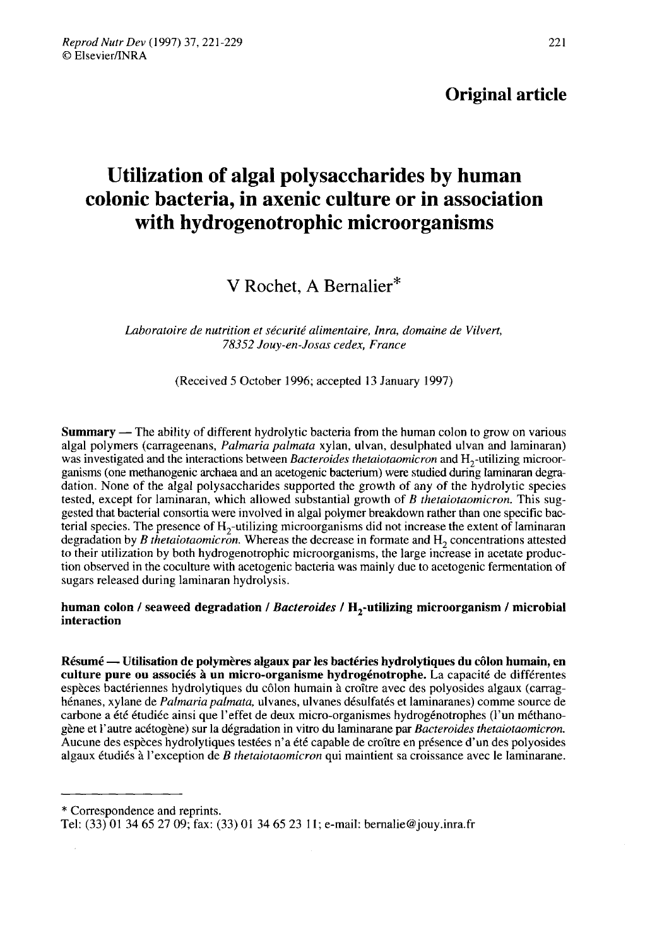### Original article

# Utilization of algal polysaccharides by human colonic bacteria, in axenic culture or in association with hydrogenotrophic microorganisms

## V Rochet, A Bernalier\*

Laboratoire de nutrition et sécurité alimentaire, Inra, domaine de Vilvert, 78352 Jouv-en-Josas cedex, France

(Received 5 October 1996; accepted 13 January 1997)

**Summary** — The ability of different hydrolytic bacteria from the human colon to grow on various algal polymers (carrageenans, *Palmaria palmata xylan*, ulvan, desulphated ulvan and laminaran) was investigated and the interactions between Bacteroides thetaiotaomicron and H<sub>2</sub>-utilizing microorganisms (one methanogenic archaea and an acetogenic bacterium) were studied during laminaran degradation. None of the algal polysaccharides supported the growth of any of the hydrolytic species tested, except for laminaran, which allowed substantial growth of B thetaiotaomicron. This suggested that bacterial consortia were involved in algal polymer breakdown rather than one specific bacterial species. The presence of  $H_2$ -utilizing microorganisms did not increase the extent of laminaran degradation by B thetaiotaomicron. Whereas the decrease in formate and  $H<sub>2</sub>$  concentrations attested to their utilization by both hydrogenotrophic microorganisms, the large increase in acetate production observed in the coculture with acetogenic bacteria was mainly due to acetogenic fermentation of sugars released during laminaran hydrolysis. degradation by *B* thetaiotaomicron. Whereas the decrease in formate and  $H_2$  concentrations attested to their utilization by both hydrogenotrophic microorganisms, the large increase in acetate production observed in the

# interaction

Résumé ― Utilisation de polymères algaux par les bactéries hydrolytiques du côlon humain, en culture pure ou associés à un micro-organisme hydrogénotrophe. La capacité de différentes espèces bactériennes hydrolytiques du côlon humain à croître avec des polyosides algaux (carraghénanes, xylane de Palmaria palmata, ulvanes, ulvanes désulfatés et laminaranes) comme source de carbone a été étudiée ainsi que l'effet de deux micro-organismes hydrogénotrophes (l'un méthanogène et l'autre acétogène) sur la dégradation in vitro du laminarane par Bacteroides thetaiotaomicron. Aucune des espèces hydrolytiques testées n'a été capable de croître en présence d'un des polyosides algaux étudiés à l'exception de B thetaiotaomicron qui maintient sa croissance avec le laminarane.

\* Correspondence and reprints.

Tel: (33) O1 34 65 27 09; fax: (33) O1 34 65 23 11; e-mail: bernalie@jouy.inra.fr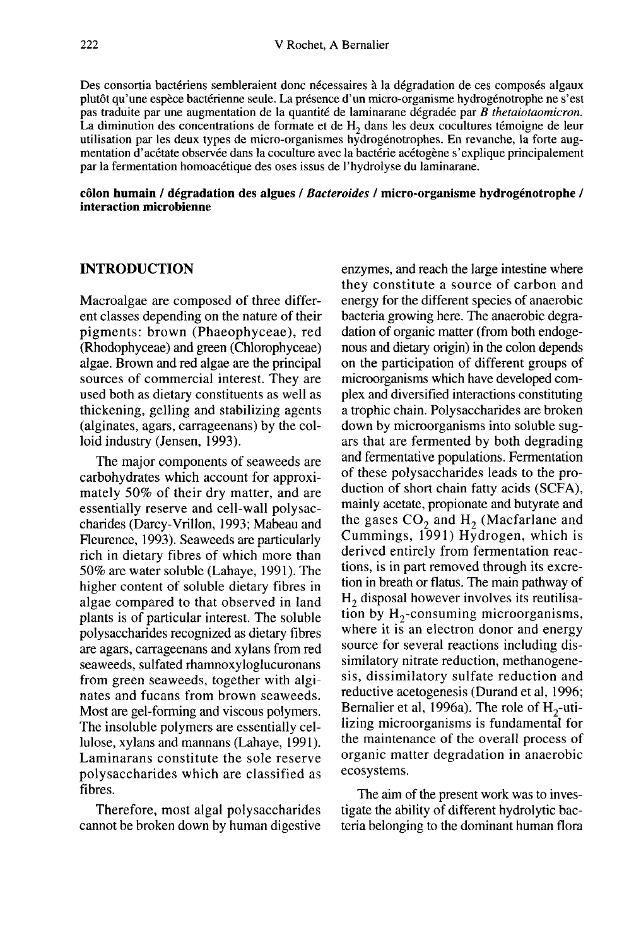Des consortia bactériens sembleraient donc nécessaires à la dégradation de ces composés algaux plutôt qu'une espèce bactérienne seule. La présence d'un micro-organisme hydrogénotrophe ne s'est pas traduite par une augmentation de la quantité de laminarane dégradée par B thetaiotaomicron. La diminution des concentrations de formate et de  $H<sub>2</sub>$  dans les deux cocultures témoigne de leur utilisation par les deux types de micro-organismes hydrogénotrophes. En revanche, la forte augmentation d'acétate observée dans la coculture avec la bactérie acétogène s'explique principalement par la fermentation homoacétique des oses issus de l'hydrolyse du laminarane.

#### côlon humain / dégradation des algues / Bacteroides / micro-organisme hydrogénotrophe / interaction microbienne

#### INTRODUCTION

Macroalgae are composed of three different classes depending on the nature of their pigments: brown (Phaeophyceae), red (Rhodophyceae) and green (Chlorophyceae) algae. Brown and red algae are the principal sources of commercial interest. They are used both as dietary constituents as well as thickening, gelling and stabilizing agents (alginates, agars, carrageenans) by the colloid industry (Jensen, 1993).

The major components of seaweeds are carbohydrates which account for approximately SO% of their dry matter, and are essentially reserve and cell-wall polysaccharides (Darcy-Vrillon, 1993; Mabeau and Fleurence, 1993). Seaweeds are particularly rich in dietary fibres of which more than 50% are water soluble (Lahaye, 1991). The higher content of soluble dietary fibres in algae compared to that observed in land plants is of particular interest. The soluble polysaccharides recognized as dietary fibres are agars, carrageenans and xylans from red seaweeds, sulfated rhamnoxyloglucuronans from green seaweeds, together with algi nates and fucans from brown seaweeds. Most are gel-forming and viscous polymers. The insoluble polymers are essentially cellulose, xylans and mannans (Lahaye, 1991). Laminarans constitute the sole reserve polysaccharides which are classified as fibres.

Therefore, most algal polysaccharides cannot be broken down by human digestive

enzymes, and reach the large intestine where they constitute a source of carbon and energy for the different species of anaerobic bacteria growing here. The anaerobic degradation of organic matter (from both endoge nous and dietary origin) in the colon depends on the participation of different groups of microorganisms which have developed complex and diversified interactions constituting a trophic chain. Polysaccharides are broken down by microorganisms into soluble sugars that are fermented by both degrading and fermentative populations. Fermentation of these polysaccharides leads to the production of short chain fatty acids (SCFA), mainly acetate, propionate and butyrate and the gases  $CO<sub>2</sub>$  and H<sub>2</sub> (Macfarlane and Cummings, 1991) Hydrogen, which is derived entirely from fermentation reactions, is in part removed through its excretion in breath or flatus. The main pathway of  $H_2$  disposal however involves its reutilisa-<br>tion by  $H_2$ -consuming microorganisms, the gases  $CO_2$  and  $H_2$  (Macfarlane and<br>the gases  $CO_2$  and  $H_2$  (Macfarlane and<br>Cummings, 1991) Hydrogen, which is<br>derived entirely from fermentation reac-<br>tions, is in part removed through its excre-<br>tion in breath o where it is an electron donor and energy source for several reactions including dissimilatory nitrate reduction, methanogenesis, dissimilatory sulfate reduction and reductive acetogenesis (Durand et al, 1996; Bernalier et al, 1996a). The role of  $H_2$ -utilizing microorganisms is fundamental for the maintenance of the overall process of organic matter degradation in anaerobic ecosystems.

The aim of the present work was to investigate the ability of different hydrolytic bacteria belonging to the dominant human flora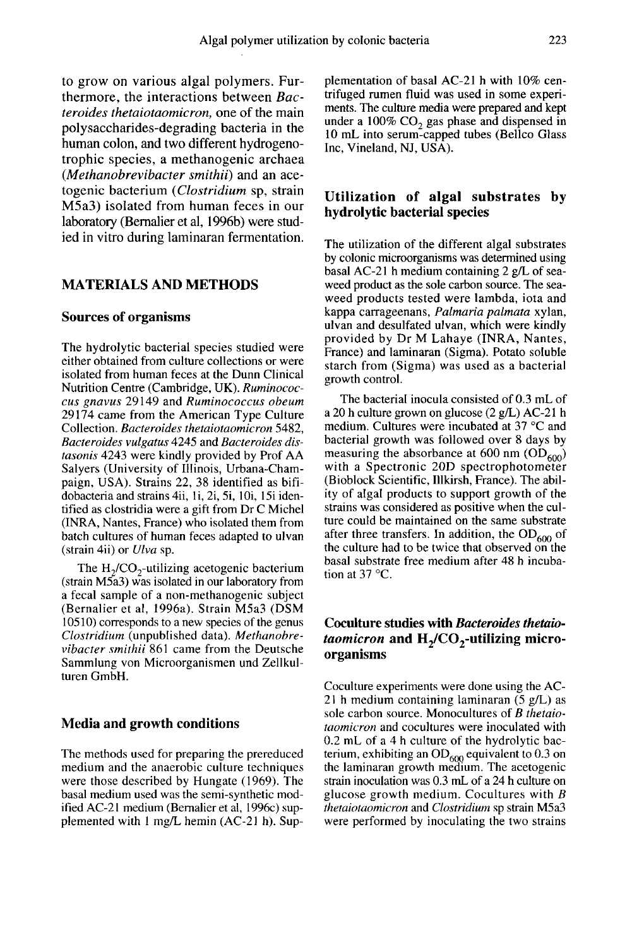to grow on various algal polymers. Furthermore, the interactions between Bacteroides thetaiotaomicron, one of the main polysaccharides-degrading bacteria in the human colon, and two different hydrogenotrophic species, a methanogenic archaea (Methanobrevibacter smithii) and an acetogenic bacterium (Clostridium sp, strain M5a3) isolated from human feces in our laboratory (Bemalier et al, 1996b) were studied in vitro during laminaran fermentation.

#### MATERIALS AND METHODS

#### Sources of organisms

The hydrolytic bacterial species studied were either obtained from culture collections or were isolated from human feces at the Dunn Clinical Nutrition Centre (Cambridge, UK). Ruminococcus gnavus 29149 and Ruminococcus obeum 29174 came from the American Type Culture Collection. Bacteroides thetaiotaomicron 5482, Bacteroides vulgatus 4245 and Bacteroides distasonis 4243 were kindly provided by Prof AA Salyers (University of Illinois, Urbana-Champaign, USA). Strains 22, 38 identified as bifidobacteria and strains 4ii, li, 2i, 5i, 10i, 15i identified as clostridia were a gift from Dr C Michel (INRA, Nantes, France) who isolated them from batch cultures of human feces adapted to ulvan (strain 4ii) or Ulva sp. yers (University of Illinois, Urbana-Cham-<br>gn, USA). Strains 22, 38 identified as bifi-<br>acteria and strains 4ii, 1i, 2i, 5i, 10i, 15i iden-<br>ed as clostridia were a gift from Dr C Michel<br>RA, Nantes, France) who isolated th

(strain M5a3) was isolated in our laboratory from a fecal sample of a non-methanogenic subject (Bernalier et al, 1996a). Strain M5a3 (DSM 10510) corresponds to a new species of the genus Clostridium (unpublished data). Methanobrevibacter smithii 861 came from the Deutsche Sammlung von Microorganismen und Zellkulturen GmbH.

#### Media and growth conditions

The methods used for preparing the prereduced medium and the anaerobic culture techniques were those described by Hungate (1969). The basal medium used was the semi-synthetic modified AC-21 medium (Bernalier et al, 1996c) supplemented with 1 mg/L hemin (AC-21 h). Supplementation of basal AC-21 h with 10% centrifuged rumen fluid was used in some experi ments. The culture media were prepared and kept under a  $100\%$  CO<sub>2</sub> gas phase and dispensed in 10 mL into serum-capped tubes (Bellco Glass Inc, Vineland, NJ, USA).

#### Utilization of algal substrates by hydrolytic bacterial species

The utilization of the different algal substrates by colonic microorganisms was determined using basal AC-21 h medium containing 2 g/L of seaweed product as the sole carbon source. The seaweed products tested were lambda, iota and kappa carrageenans, Palmaria palmata xylan, ulvan and desulfated ulvan, which were kindly provided by Dr M Lahaye (INRA, Nantes, France) and laminaran (Sigma). Potato soluble starch from (Sigma) was used as a bacterial growth control.

The bacterial inocula consisted of 0.3 mL of a 20 h culture grown on glucose (2 g/L) AC-21 h medium. Cultures were incubated at 37 °C and bacterial growth was followed over 8 days by measuring the absorbance with a Spectronic 20D spectrophotometer ose (2 g/L) AC-21 h<br>ubated at 37 °C and<br>wed over 8 days by<br>at 600 nm (OD<sub>600</sub>)<br>pectrophotometer (Bioblock Scientific, lilkirsh, France). The ability of algal products to support growth of the strains was considered as positive when the culture could be maintained on the same substrate after three transfers. In addition, the  $OD<sub>600</sub>$  of the culture had to be twice that observed on the basal substrate free medium after 48 h incubation at  $37^{\circ}$ C. ture could be maintained on the same substrate<br>after three transfers. In addition, the OD<sub>600</sub> of<br>the culture had to be twice that observed on the<br>basal substrate free medium after 48 h incuba-<br>tion at 37 °C.<br>**Coculture s** 

# Coculture studies with Bacteroides thetaioorganisms

Coculture experiments were done using the AC-21 h medium containing laminaran (5 g/L) as sole carbon source. Monocultures of  $B$  thetaiotaomicron and cocultures were inoculated with 0.2 mL of a 4 h culture of the hydrolytic bacterium, exhibiting an  $OD_{600}$  equivalent to 0.3 on the laminaran growth medium. The acetogenic strain inoculation was 0.3 mL of a 24 h culture on glucose growth medium. Cocultures with  $B$ thetaiotaomicron and Clostridium sp strain M5a3 were performed by inoculating the two strains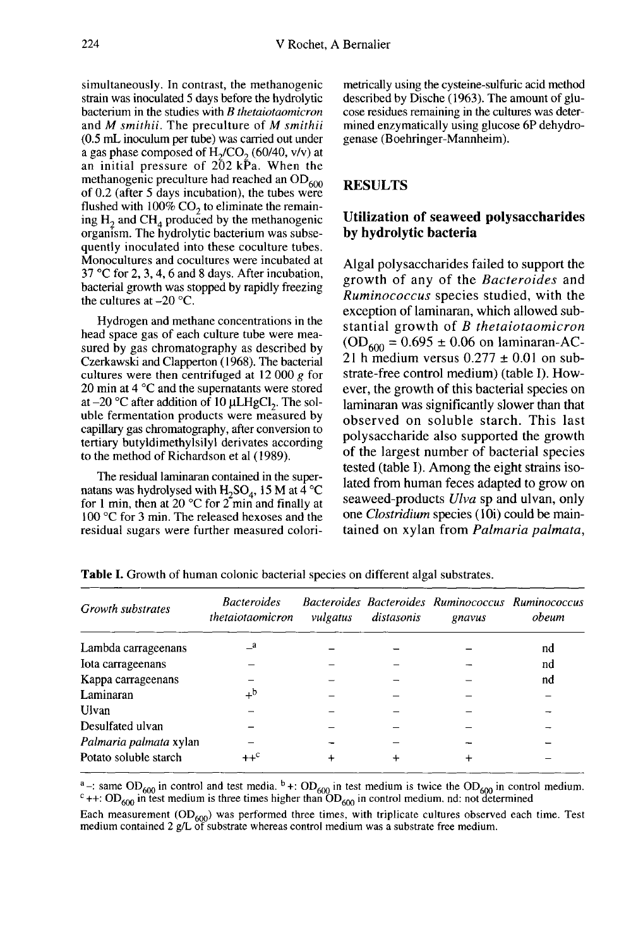simultaneously. In contrast, the methanogenic strain was inoculated 5 days before the hydrolytic bacterium in the studies with B thetaiotaomicron and M smithii. The preculture of M smithii (0.5 mL inoculum per tube) was carried out under<br>a gas phase composed of  $H_2/CO_2$  (60/40, v/v) at bacterium in the studies with *B thetaiotaomicron*<br>and *M smithii*. The preculture of *M smithii*<br>(0.5 mL inoculum per tube) was carried out under<br>a gas phase composed of  $H_2/CO_2$  (60/40, v/v) at<br>an initial pressure of 2 a gas phase composed of  $H_2/CO_2$  (60/40, v/v) at<br>an initial pressure of 202 kPa. When the<br>methanogenic preculture had reached an OD<sub>600</sub><br>of 0.2 (after 5 days incubation), the tubes were of 0.2 (after 5 days incubation), the tubes were<br>flushed with  $100\%$  CO<sub>2</sub> to eliminate the remain-<br>ing H<sub>ra</sub> and CH<sub>ra</sub> produced by the methanogenic flushed with 100%  $CO_2$  to eliminate the remain-<br>ing H<sub>2</sub> and CH<sub>4</sub> produced by the methanogenic organism. The hydrolytic bacterium was subsequently inoculated into these coculture tubes. Monocultures and cocultures were incubated at 37 °C for 2, 3, 4, 6 and 8 days. After incubation, bacterial growth was stopped by rapidly freezing the cultures at  $-20$  °C.

Hydrogen and methane concentrations in the head space gas of each culture tube were measured by gas chromatography as described by Czerkawski and Clapperton (1968). The bacterial cultures were then centrifuged at  $12\ 000\ g$  for 20 min at 4 °C and the supernatants were stored at  $-20$  °C after addition of 10  $\mu$ LHgCl<sub>2</sub>. The soluble fermentation products were measured by capillary gas chromatography, after conversion to tertiary butyldimethylsilyl derivates according to the method of Richardson et al (1989).

The residual laminaran contained in the super-<br>natans was hydrolysed with  $H_2SO_4$ , 15 M at 4 °C for 1 min, then at 20  $\rm{^{\circ}C}$  for 2 min and finally at 100 °C for 3 min. The released hexoses and the residual sugars were further measured colorimetrically using the cysteine-sulfuric acid method described by Dische ( 1963). The amount of glu cose residues remaining in the cultures was determined enzymatically using glucose 6P dehydrogenase (Boehringer-Mannheim).

#### RESULTS

#### Utilization of seaweed polysaccharides by hydrolytic bacteria

Algal polysaccharides failed to support the growth of any of the Bacteroides and Ruminococcus species studied, with the exception of laminaran, which allowed substantial growth of B thetaiotaomicron  $(OD_{600} = 0.695 \pm 0.06$  on laminaran-AC-21 h medium versus  $0.277 \pm 0.01$  on substrate-free control medium) (table I). However, the growth of this bacterial species on laminaran was significantly slower than that observed on soluble starch. This last polysaccharide also supported the growth of the largest number of bacterial species tested (table I). Among the eight strains isolated from human feces adapted to grow on seaweed-products Ulva sp and ulvan, only one Clostridium species (10i) could be maintained on xylan from Palmaria palmata,

| Growth substrates      | <i>Bacteroides</i><br>thetaiotaomicron | vulgatus | distasonis | Bacteroides Bacteroides Ruminococcus Ruminococcus<br>gnavus | obeum |
|------------------------|----------------------------------------|----------|------------|-------------------------------------------------------------|-------|
| Lambda carrageenans    | _a                                     |          |            |                                                             | nd    |
| Iota carrageenans      |                                        |          |            |                                                             | nd    |
| Kappa carrageenans     |                                        |          |            |                                                             | nd    |
| Laminaran              | $+^{\rm b}$                            |          |            |                                                             |       |
| Ulvan                  |                                        |          |            |                                                             |       |
| Desulfated ulvan       |                                        |          |            |                                                             |       |
| Palmaria palmata xylan |                                        |          |            |                                                             |       |
| Potato soluble starch  |                                        |          | ┿          |                                                             |       |

**Table I.** Growth of human colonic bacterial species on different algal substrates.

<sup>a</sup> -: same OD<sub>600</sub> in control and test media. <sup>b</sup> +: OD<sub>600</sub> in test medium is twice the OD<sub>600</sub> in control medium.<br><sup>c</sup> + +: OD<sub>600</sub> in test medium is three times higher than OD<sub>600</sub> in control medium. nd: not determined

Each measurement  $OD_{600}$  was performed three times, with triplicate cultures observed each time. Test medium contained 2 g/L of substrate whereas control medium was a substrate free medium.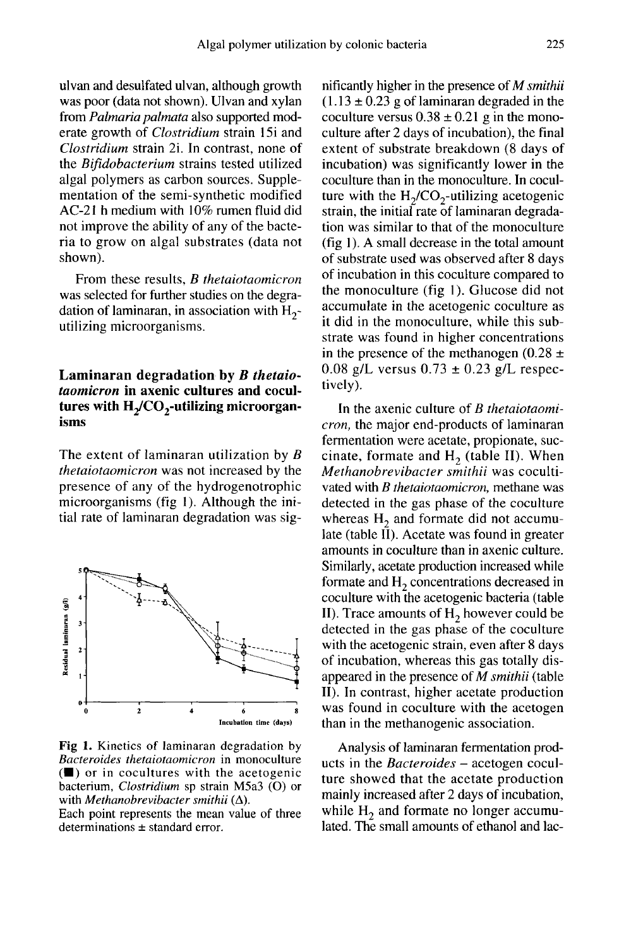ulvan and desulfated ulvan, although growth was poor (data not shown). Ulvan and xylan from Palmaria palmata also supported moderate growth of Clostridium strain 15i and Clostridium strain 2i. In contrast, none of the Bifidobacterium strains tested utilized algal polymers as carbon sources. Supplementation of the semi-synthetic modified AC-21 h medium with 10% rumen fluid did not improve the ability of any of the bacteria to grow on algal substrates (data not shown).

From these results, B thetaiotaomicron was selected for further studies on the degradation of laminaran, in association with  $H_2$ -<br>utilizing microorganisms.

# Laminaran degradation by B thetaiotaomicron in axenic cultures and cocul-Trom alcose results, *D i*ncreasing the mass selected for further studies on the degradation of laminaran, in association with  $H_2$ -utilizing microorganisms.<br> **Laminaran degradation by** *B thetaio-taomicron* in axenic isms

The extent of laminaran utilization by B thetaiotaomicron was not increased by the presence of any of the hydrogenotrophic microorganisms (fig 1). Although the initial rate of laminaran degradation was sig-



Fig 1. Kinetics of laminaran degradation by Bacteroides thetaiotaomicron in monoculture  $(\blacksquare)$  or in cocultures with the acetogenic bacterium. Clostridium sp strain M5a3 (O) or with *Methanobrevibacter smithii*  $(\Delta)$ .

Each point represents the mean value of three determinations  $\pm$  standard error.

nificantly higher in the presence of M smithii  $(1.13 \pm 0.23$  g of laminaran degraded in the coculture versus  $0.38 \pm 0.21$  g in the monoculture after 2 days of incubation), the final extent of substrate breakdown (8 days of incubation) was significantly lower in the coculture than in the monoculture. In coculmificantly higher in the presence of *M smithit* (1.13  $\pm$  0.23 g of laminaran degraded in the coculture versus 0.38  $\pm$  0.21 g in the mono-<br>culture after 2 days of incubation), the final<br>extent of substrate breakdown ( strain, the initial rate of laminaran degradation was similar to that of the monoculture  $(fig 1)$ . A small decrease in the total amount of substrate used was observed after 8 days of incubation in this coculture compared to the monoculture (fig 1). Glucose did not accumulate in the acetogenic coculture as it did in the monoculture, while this substrate was found in higher concentrations in the presence of the methanogen (0.28  $\pm$  $0.08$  g/L versus  $0.73 \pm 0.23$  g/L respectively).

In the axenic culture of B thetaiotaomicron, the major end-products of laminaran fermentation were acetate, propionate, succinate, formate and  $H_2$  (table II). When Methanobrevibacter smithii was cocultivated with *B thetaiotaomicron*, methane was detected in the gas phase of the coculture whereas  $H<sub>2</sub>$  and formate did not accumulate (table II). Acetate was found in greater amounts in coculture than in axenic culture. Similarly, acetate production increased while formate and  $H_2$  concentrations decreased in coculture with the acetogenic bacteria (table II). Trace amounts of  $H<sub>2</sub>$  however could be detected in the gas phase of the coculture with the acetogenic strain, even after 8 days of incubation, whereas this gas totally disappeared in the presence of M smithii (table II). In contrast, higher acetate production was found in coculture with the acetogen than in the methanogenic association.

Analysis of laminaran fermentation prod ucts in the *Bacteroides* – acetogen coculture showed that the acetate production mainly increased after 2 days of incubation, while  $H<sub>2</sub>$  and formate no longer accumulated. The small amounts of ethanol and lac-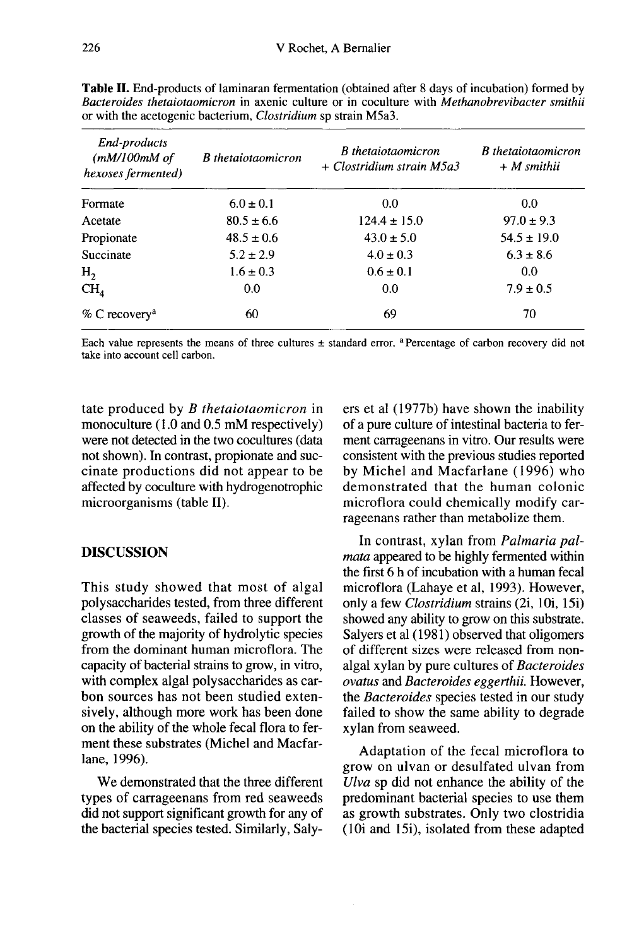| End-products<br>(mM/100mM of<br>hexoses fermented) | <b>B</b> thetaiotaomicron | <b>B</b> thetaiotaomicron<br>+ Clostridium strain M5a3 | <b>B</b> thetaiotaomicron<br>$+$ <i>M</i> smithii |  |
|----------------------------------------------------|---------------------------|--------------------------------------------------------|---------------------------------------------------|--|
| Formate                                            | $6.0 \pm 0.1$             | 0.0                                                    | 0.0                                               |  |
| Acetate                                            | $80.5 \pm 6.6$            | $124.4 \pm 15.0$                                       | $97.0 \pm 9.3$                                    |  |
| Propionate                                         | $48.5 \pm 0.6$            | $43.0 \pm 5.0$                                         | $54.5 \pm 19.0$                                   |  |
| Succinate                                          | $5.2 \pm 2.9$             | $4.0 \pm 0.3$                                          | $6.3 \pm 8.6$                                     |  |
| H <sub>2</sub>                                     | $1.6 \pm 0.3$             | $0.6 \pm 0.1$                                          | 0.0                                               |  |
| CH <sub>4</sub>                                    | 0.0                       | 0.0                                                    | $7.9 \pm 0.5$                                     |  |
| $%$ C recovery <sup>a</sup>                        | 60                        | 69                                                     | 70                                                |  |

Table II. End-products of laminaran fermentation (obtained after 8 days of incubation) formed by Bacteroides thetajotaomicron in axenic culture or in coculture with Methanobrevibacter smithii or with the acetogenic bacterium, *Clostridium* sp strain M5a3.

Each value represents the means of three cultures  $\pm$  standard error. <sup>a</sup> Percentage of carbon recovery did not take into account cell carbon.

tate produced by B thetaiotaomicron in monoculture (1.0 and 0.5 mM respectively) were not detected in the two cocultures (data not shown). In contrast, propionate and succinate productions did not appear to be affected by coculture with hydrogenotrophic microorganisms (table II).

#### DISCUSSION

This study showed that most of algal polysaccharides tested, from three different classes of seaweeds, failed to support the growth of the majority of hydrolytic species from the dominant human microflora. The capacity of bacterial strains to grow, in vitro, with complex algal polysaccharides as carbon sources has not been studied extensively, although more work has been done on the ability of the whole fecal flora to ferment these substrates (Michel and Macfarlane, 1996).

We demonstrated that the three different types of carrageenans from red seaweeds did not support significant growth for any of the bacterial species tested. Similarly, Salyers et al (1977b) have shown the inability of a pure culture of intestinal bacteria to ferment carrageenans in vitro. Our results were consistent with the previous studies reported by Michel and Macfarlane (1996) who demonstrated that the human colonic microflora could chemically modify carrageenans rather than metabolize them.

In contrast, xylan from Palmaria pal mata appeared to be highly fermented within the first 6 h of incubation with a human fecal microflora (Lahaye et al, 1993). However, only a few Clostridium strains (2i, 10i, 15i) showed any ability to grow on this substrate. Salyers et al (1981) observed that oligomers of different sizes were released from nonalgal xylan by pure cultures of Bacteroides ovatus and Bacteroides eggerthii. However, the Bacteroides species tested in our study failed to show the same ability to degrade xylan from seaweed.

Adaptation of the fecal microflora to grow on ulvan or desulfated ulvan from Ulva sp did not enhance the ability of the predominant bacterial species to use them as growth substrates. Only two clostridia (10i and 15i), isolated from these adapted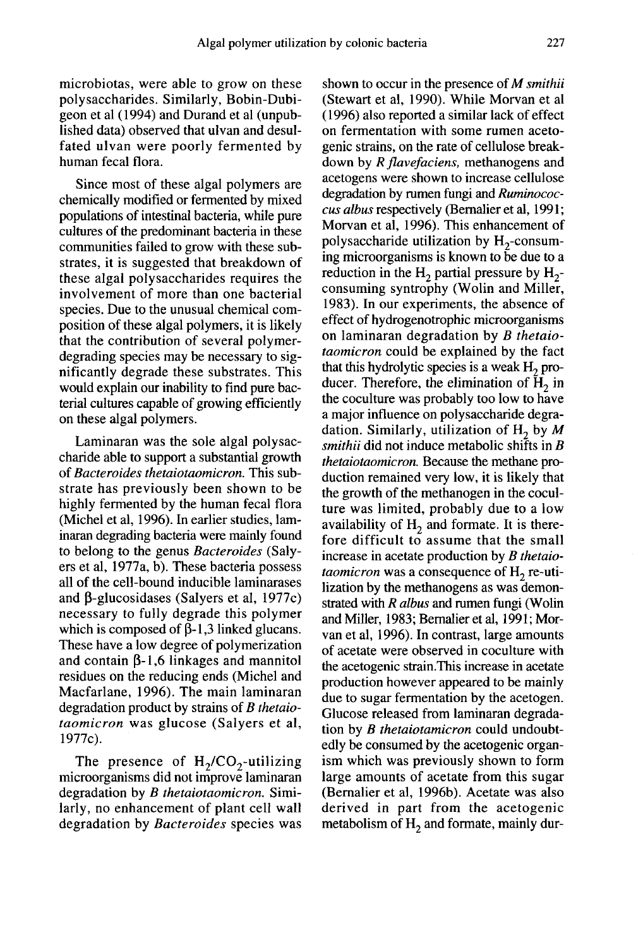microbiotas, were able to grow on these polysaccharides. Similarly, Bobin-Dubigeon et al (1994) and Durand et al (unpublished data) observed that ulvan and desulfated ulvan were poorly fermented by human fecal flora.

Since most of these algal polymers are chemically modified or fermented by mixed populations of intestinal bacteria, while pure cultures of the predominant bacteria in these communities failed to grow with these substrates, it is suggested that breakdown of these algal polysaccharides requires the involvement of more than one bacterial species. Due to the unusual chemical composition of these algal polymers, it is likely that the contribution of several polymerdegrading species may be necessary to significantly degrade these substrates. This would explain our inability to find pure bacterial cultures capable of growing efficiently on these algal polymers.

Laminaran was the sole algal polysaccharide able to support a substantial growth of Bacteroides thetaiotaomicron. This substrate has previously been shown to be highly fermented by the human fecal flora (Michel et al, 1996). In earlier studies, laminaran degrading bacteria were mainly found to belong to the genus Bacteroides (Saly ers et al, 1977a, b). These bacteria possess all of the cell-bound inducible laminarases and  $\beta$ -glucosidases (Salyers et al, 1977c) necessary to fully degrade this polymer which is composed of  $\beta$ -1,3 linked glucans. These have a low degree of polymerization which is composed of  $p-1,3$  linked glucans.<br>These have a low degree of polymerization<br>and contain  $\beta$ -1,6 linkages and mannitol<br>residues on the reducing ends (Michel and residues on the reducing ends (Michel and Macfarlane, 1996). The main laminaran degradation product by strains of B thetaiotaomicron was glucose (Salyers et al, 1977c). which is composed of  $p-1,3$  linked glucans.<br>These have a low degree of polymerization<br>and contain  $\beta$ -1,6 linkages and mannitol<br>residues on the reducing ends (Michel and<br>Macfarlane, 1996). The main laminaran<br>degradation

degradation by *B thetaiotaomicron*. Similarly, no enhancement of plant cell wall degradation by Bacteroides species was shown to occur in the presence of  $M$  smithii (Stewart et al, 1990). While Morvan et al ( 1996) also reported a similar lack of effect on fermentation with some rumen acetogenic strains, on the rate of cellulose breakdown by R flavefaciens, methanogens and acetogens were shown to increase cellulose degradation by rumen fungi and Ruminococcus albus respectively (Bemalier et al, 1991; Morvan et al, 1996). This enhancement of down by *R flavefaciens*, methanogens and<br>acetogens were shown to increase cellulose<br>degradation by rumen fungi and *Ruminococ-*<br>cus albus respectively (Bernalier et al, 1991;<br>Morvan et al, 1996). This enhancement of<br>poly ing microorganisms is known to be due to a reduction in the  $H_2$  partial pressure by  $H_2$ -<br>consuming syntrophy (Wolin and Miller, 1983). In our experiments, the absence of effect of hydrogenotrophic microorganisms on laminaran degradation by B thetaiotaomicron could be explained by the fact that this hydrolytic species is a weak  $H<sub>2</sub>$  producer. Therefore, the elimination of  $H<sub>2</sub>$  in the coculture was probably too low to have a major influence on polysaccharide degradation. Similarly, utilization of  $H_2$  by M smithii did not induce metabolic shifts in  $B$ thetaiotaomicron. Because the methane production remained very low, it is likely that the growth of the methanogen in the coculture was limited, probably due to a low availability of  $H<sub>2</sub>$  and formate. It is therefore difficult to assume that the small increase in acetate production by B thetaio*taomicron* was a consequence of  $H<sub>2</sub>$  re-utilization by the methanogens as was demonstrated with R albus and rumen fungi (Wolin and Miller, 1983; Bemalier et al, 1991; Mor van et al, 1996). In contrast, large amounts of acetate were observed in coculture with the acetogenic strain.This increase in acetate production however appeared to be mainly due to sugar fermentation by the acetogen. Glucose released from laminaran degradation by B thetaiotamicron could undoubtedly be consumed by the acetogenic organism which was previously shown to form large amounts of acetate from this sugar (Bemalier et al, 1996b). Acetate was also derived in part from the acetogenic<br>metabolism of  $H_2$  and formate, mainly dur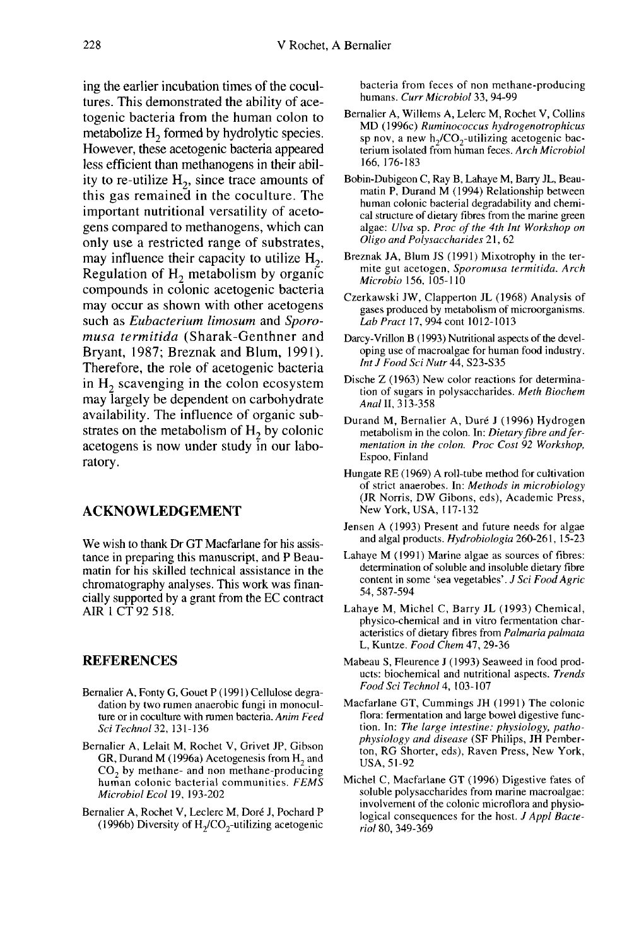ing the earlier incubation times of the cocultures. This demonstrated the ability of acetogenic bacteria from the human colon to metabolize  $H_2$  formed by hydrolytic species. However, these acetogenic bacteria appeared less efficient than methanogens in their ability to re-utilize  $H<sub>2</sub>$ , since trace amounts of this gas remained in the coculture. The important nutritional versatility of acetogens compared to methanogens, which can only use a restricted range of substrates, may influence their capacity to utilize  $H_2$ . Regulation of  $H<sub>2</sub>$  metabolism by organic compounds in colonic acetogenic bacteria may occur as shown with other acetogens such as Eubacterium limosum and Sporomusa termitida (Sharak-Genthner and Bryant, 1987; Breznak and Blum, 1991). Therefore, the role of acetogenic bacteria in  $H<sub>2</sub>$  scavenging in the colon ecosystem may largely be dependent on carbohydrate availability. The influence of organic substrates on the metabolism of  $H_2$  by colonic acetogens is now under study in our laboratory.

#### ACKNOWLEDGEMENT

We wish to thank Dr GT Macfarlane for his assistance in preparing this manuscript, and P Beaumatin for his skilled technical assistance in the chromatography analyses. This work was financially supported by a grant from the EC contract AIR 1 CT 92 518.

#### REFERENCES

- Bernalier A, Fonty G, Gouet P (1991) Cellulose degradation by two rumen anaerobic fungi in monoculture or in coculture with rumen bacteria. Anim Feed Sci Technol 32, 131-136
- Bernalier A, Lelait M, Rochet V, Grivet JP, Gibson GR, Durand M (1996a) Acetogenesis from  $H_2$  and  $CO_2$  by methane- and non methane-producing human colonic bacterial communities. FEMS Microbiol Ecol 19, 193-202 CO<sub>2</sub> by methane- and non methane-producing<br>human colonic bacterial communities. FEMS<br>Microbiol Ecol 19, 193-202<br>malier A, Rochet V, Leclerc M, Doré J, Pochard P<br>(1996b) Diversity of H<sub>2</sub>/CO<sub>2</sub>-utilizing acetogenic
- Bernalier A, Rochet V, Leclerc M, Dore J, Pochard P

bacteria from feces of non methane-producing humans. Curr Microbiol 33, 94-99

- Bernalier A, Willems A, Lelerc M, Rochet V, Collins<br>MD (1996c) Ruminococcus hydrogenotrophicus malier<br>
bacteria from feces of non methane-producing<br>
humans. *Curr Microbiol* 33, 94-99<br>
malier A, Willems A, Lelerc M, Rochet V, Collins<br>
MD (1996c) *Ruminococcus hydrogenotrophicus*<br>
sp nov, a new h<sub>2</sub>/CO<sub>2</sub>-utilizing terium isolated from human feces. Arch Microbiol 166, 176-183
- Bobin-Dubigeon C, Ray B, Lahaye M, Barry JL, Beaumatin P, Durand M (1994) Relationship between human colonic bacterial degradability and chemical structure of dietary fibres from the marine green algae: Ulva sp. Proc of the 4th Int Workshop on Oligo and Polysaccharides 21, 62
- Breznak JA, Blum JS (1991) Mixotrophy in the termite gut acetogen, Sporomusa termitida. Arch Microbio 156, 105-110
- Czerkawski JW, Clapperton JL (1968) Analysis of gases produced by metabolism of microorganisms. Lab Pract 17, 994 cont 1012-1013
- Darcy-Vrillon B (1993) Nutritional aspects of the developing use of macroalgae for human food industry. Int J Food Sci Nutr 44, S23-S35
- Dische Z (1963) New color reactions for determination of sugars in polysaccharides. Meth Biochem Anal II, 313-358
- Durand M, Bernalier A, Duré J (1996) Hydrogen metabolism in the colon. In: Dietary fibre and fer mentation in the colon. Proc Cost 92 Workshop, Espoo, Finland
- Hungate RE ( 1969) A roll-tube method for cultivation of strict anaerobes. In: Methods in microbiology (JR Norris, DW Gibons, eds), Academic Press, New York, USA, I 17-132
- Jensen A (1993) Present and future needs for algae and algal products. Hydrobiologia 260-261, 15-23
- Lahaye M (1991) Marine algae as sources of fibres: determination of soluble and insoluble dietary fibre content in some 'sea vegetables'. J Sci Food Agric 54, 587-594
- Lahaye M, Michel C, Barry JL (1993) Chemical, physico-chemical and in vitro fermentation characteristics of dietary fibres from Palmaria palmata L, Kuntze. Food Chem 47, 29-36
- Mabeau S, Fleurence J (1993) Seaweed in food prod ucts: biochemical and nutritional aspects. Trends Food Sci Technol 4, 103-107
- Macfarlane GT, Cummings JH (1991) The colonic flora: fermentation and large bowel digestive function. In: The large intestine: physiology, pathophysiology and disease (SF Philips, JH Pemberton, RG Shorter, eds), Raven Press, New York, USA, 51-92
- Michel C, Macfarlane GT (1996) Digestive fates of soluble polysaccharides from marine macroalgae: involvement of the colonic microflora and physiological consequences for the host. J Appl Bacteriol 80, 349-369